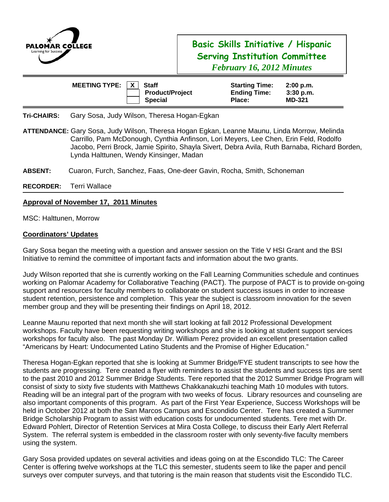

# **Basic Skills Initiative / Hispanic Serving Institution Committee**  *February 16, 2012 Minutes*

| MEETING TYPE: $ X $ | <b>Staff</b>                             | <b>Starting Time:</b>         | 2:00 p.m.                    |
|---------------------|------------------------------------------|-------------------------------|------------------------------|
|                     | <b>Product/Project</b><br><b>Special</b> | <b>Ending Time:</b><br>Place: | $3:30$ p.m.<br><b>MD-321</b> |

**Tri-CHAIRS:** Gary Sosa, Judy Wilson, Theresa Hogan-Egkan

- **ATTENDANCE:** Gary Sosa, Judy Wilson, Theresa Hogan Egkan, Leanne Maunu, Linda Morrow, Melinda Carrillo, Pam McDonough, Cynthia Anfinson, Lori Meyers, Lee Chen, Erin Feld, Rodolfo Jacobo, Perri Brock, Jamie Spirito, Shayla Sivert, Debra Avila, Ruth Barnaba, Richard Borden, Lynda Halttunen, Wendy Kinsinger, Madan
- **ABSENT:** Cuaron, Furch, Sanchez, Faas, One-deer Gavin, Rocha, Smith, Schoneman

**RECORDER:** Terri Wallace

### **Approval of November 17, 2011 Minutes**

MSC: Halttunen, Morrow

#### **Coordinators' Updates**

Gary Sosa began the meeting with a question and answer session on the Title V HSI Grant and the BSI Initiative to remind the committee of important facts and information about the two grants.

Judy Wilson reported that she is currently working on the Fall Learning Communities schedule and continues working on Palomar Academy for Collaborative Teaching (PACT). The purpose of PACT is to provide on-going support and resources for faculty members to collaborate on student success issues in order to increase student retention, persistence and completion. This year the subject is classroom innovation for the seven member group and they will be presenting their findings on April 18, 2012.

Leanne Maunu reported that next month she will start looking at fall 2012 Professional Development workshops. Faculty have been requesting writing workshops and she is looking at student support services workshops for faculty also. The past Monday Dr. William Perez provided an excellent presentation called "Americans by Heart: Undocumented Latino Students and the Promise of Higher Education."

Theresa Hogan-Egkan reported that she is looking at Summer Bridge/FYE student transcripts to see how the students are progressing. Tere created a flyer with reminders to assist the students and success tips are sent to the past 2010 and 2012 Summer Bridge Students. Tere reported that the 2012 Summer Bridge Program will consist of sixty to sixty five students with Matthews Chakkanakuzhi teaching Math 10 modules with tutors. Reading will be an integral part of the program with two weeks of focus. Library resources and counseling are also important components of this program. As part of the First Year Experience, Success Workshops will be held in October 2012 at both the San Marcos Campus and Escondido Center. Tere has created a Summer Bridge Scholarship Program to assist with education costs for undocumented students. Tere met with Dr. Edward Pohlert, Director of Retention Services at Mira Costa College, to discuss their Early Alert Referral System. The referral system is embedded in the classroom roster with only seventy-five faculty members using the system.

Gary Sosa provided updates on several activities and ideas going on at the Escondido TLC: The Career Center is offering twelve workshops at the TLC this semester, students seem to like the paper and pencil surveys over computer surveys, and that tutoring is the main reason that students visit the Escondido TLC.